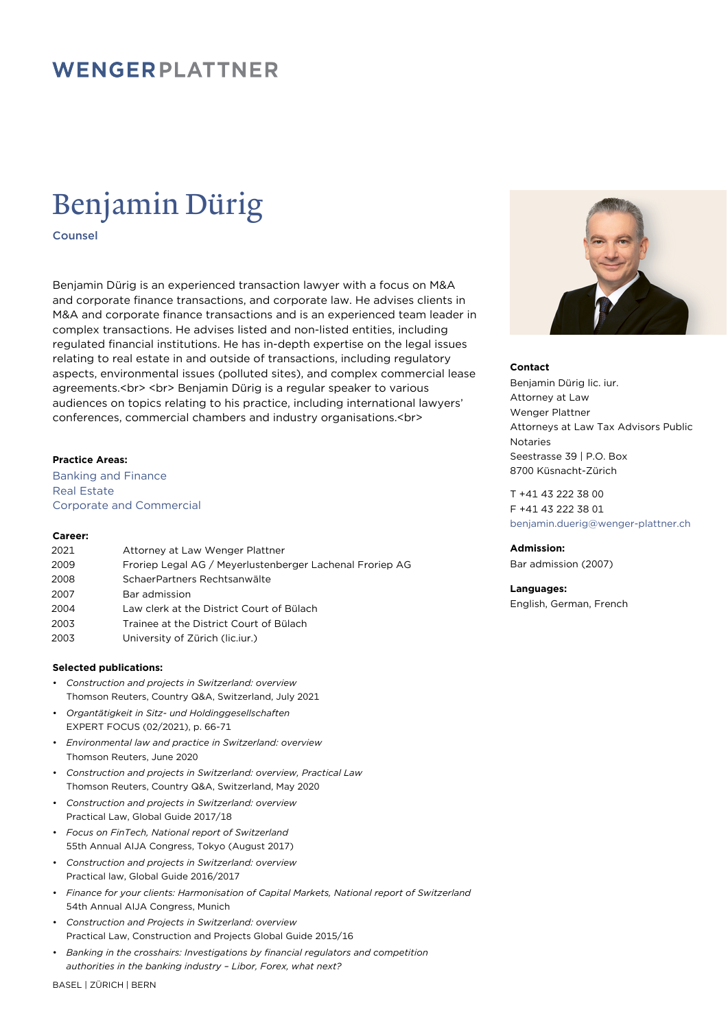### WENGERPLATTNER

# Benjamin Dürig

Counsel

Benjamin Dürig is an experienced transaction lawyer with a focus on M&A and corporate finance transactions, and corporate law. He advises clients in M&A and corporate finance transactions and is an experienced team leader in complex transactions. He advises listed and non-listed entities, including regulated financial institutions. He has in-depth expertise on the legal issues relating to real estate in and outside of transactions, including regulatory aspects, environmental issues (polluted sites), and complex commercial lease agreements.<br>>>>>> <br/>>br>>>>>> Benjamin Dürig is a regular speaker to various audiences on topics relating to his practice, including international lawyers' conferences, commercial chambers and industry organisations.<br>

#### **Practice Areas:**

Banking and Finance Real Estate Corporate and Commercial

#### **Career:**

| 2021 | Attorney at Law Wenger Plattner                          |
|------|----------------------------------------------------------|
| 2009 | Froriep Legal AG / Meyerlustenberger Lachenal Froriep AG |
| 2008 | SchaerPartners Rechtsanwälte                             |
| 2007 | Bar admission                                            |
| 2004 | Law clerk at the District Court of Bülach                |
| 2003 | Trainee at the District Court of Bülach                  |
| 2003 | University of Zürich (lic.iur.)                          |

#### **Selected publications:**

- *Construction and projects in Switzerland: overview* Thomson Reuters, Country Q&A, Switzerland, July 2021
- *Organtätigkeit in Sitz- und Holdinggesellschaften* EXPERT FOCUS (02/2021), p. 66-71
- *Environmental law and practice in Switzerland: overview* Thomson Reuters, June 2020
- *Construction and projects in Switzerland: overview, Practical Law* Thomson Reuters, Country Q&A, Switzerland, May 2020
- *Construction and projects in Switzerland: overview* Practical Law, Global Guide 2017/18
- *Focus on FinTech, National report of Switzerland* 55th Annual AIJA Congress, Tokyo (August 2017)
- *Construction and projects in Switzerland: overview* Practical law, Global Guide 2016/2017
- *Finance for your clients: Harmonisation of Capital Markets, National report of Switzerland* 54th Annual AIJA Congress, Munich
- *Construction and Projects in Switzerland: overview* Practical Law, Construction and Projects Global Guide 2015/16
- *Banking in the crosshairs: Investigations by financial regulators and competition authorities in the banking industry – Libor, Forex, what next?*



#### **Contact**

Benjamin Dürig lic. iur. Attorney at Law Wenger Plattner Attorneys at Law Tax Advisors Public Notaries Seestrasse 39 | P.O. Box 8700 Küsnacht-Zürich

T +41 43 222 38 00 F +41 43 222 38 01 [benjamin.duerig@wenger-plattner.ch](mailto:benjamin.duerig@wenger-plattner.ch)

**Admission:** Bar admission (2007)

**Languages:** English, German, French